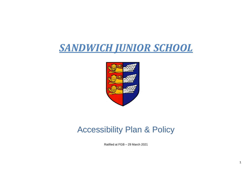# *SANDWICH JUNIOR SCHOOL*



# Accessibility Plan & Policy

Ratified at FGB – 29 March 2021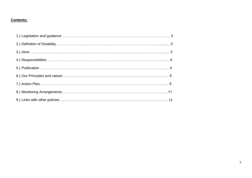#### **Contents:**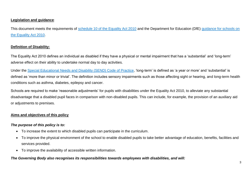#### **Legislation and guidance**:

This document meets the requirements of [schedule 10 of the Equality Act 2010](http://www.legislation.gov.uk/ukpga/2010/15/schedule/10) and the Department for Education (DfE) [guidance for schools on](https://www.gov.uk/government/publications/equality-act-2010-advice-for-schools)  [the Equality Act 2010.](https://www.gov.uk/government/publications/equality-act-2010-advice-for-schools)

#### **Definition of Disability:**

The Equality Act 2010 defines an individual as disabled if they have a physical or mental impairment that has a 'substantial' and 'long-term' adverse effect on their ability to undertake normal day to day activities.

Under the [Special Educational Needs and Disability \(SEND\) Code of Practice,](https://www.gov.uk/government/publications/send-code-of-practice-0-to-25) 'long-term' is defined as 'a year or more' and 'substantial' is defined as 'more than minor or trivial'. The definition includes sensory impairments such as those affecting sight or hearing, and long-term health conditions such as asthma, diabetes, epilepsy and cancer.

Schools are required to make 'reasonable adjustments' for pupils with disabilities under the Equality Act 2010, to alleviate any substantial disadvantage that a disabled pupil faces in comparison with non-disabled pupils. This can include, for example, the provision of an auxiliary aid or adjustments to premises.

#### **Aims and objectives of this policy**

#### *The purpose of this policy is to:*

- To increase the extent to which disabled pupils can participate in the curriculum.
- To improve the physical environment of the school to enable disabled pupils to take better advantage of education, benefits, facilities and services provided.
- To improve the availability of accessible written information.

*The Governing Body also recognises its responsibilities towards employees with disabilities, and will:*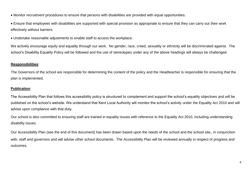Monitor recruitment procedures to ensure that persons with disabilities are provided with equal opportunities.

 Ensure that employees with disabilities are supported with special provision as appropriate to ensure that they can carry out their work effectively without barriers.

Undertake reasonable adjustments to enable staff to access the workplace.

We actively encourage equity and equality through our work. No gender, race, creed, sexuality or ethnicity will be discriminated against. The school's Disability Equality Policy will be followed and the use of stereotypes under any of the above headings will always be challenged.

#### **Responsibilities**:

The Governors of the school are responsible for determining the content of the policy and the Headteacher is responsible for ensuring that the plan is implemented.

#### **Publication**:

The Accessibility Plan that follows this accessibility policy is structured to complement and support the school's equality objectives and will be published on the school's website. We understand that Kent Local Authority will monitor the school's activity under the Equality Act 2010 and will advise upon compliance with that duty.

Our school is also committed to ensuring staff are trained in equality issues with reference to the Equality Act 2010, including understanding disability issues.

Our Accessibility Plan (see the end of this document) has been drawn based upon the needs of the school and the school site, in conjunction with, staff and governors and will advise other school documents. The Accessibility Plan will be reviewed annually in respect of progress and outcomes.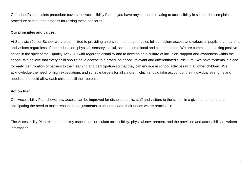Our school's complaints procedure covers the Accessibility Plan. If you have any concerns relating to accessibility in school, the complaints procedure sets out the process for raising these concerns.

#### **Our principles and values:**

At Sandwich Junior School we are committed to providing an environment that enables full curriculum access and values all pupils, staff, parents and visitors regardless of their education, physical, sensory, social, spiritual, emotional and cultural needs. We are committed to taking positive action in the spirit of the Equality Act 2010 with regard to disability and to developing a culture of inclusion, support and awareness within the school. We believe that every child should have access to a broad, balanced, relevant and differentiated curriculum. We have systems in place for early identification of barriers to their learning and participation so that they can engage in school activities with all other children. We acknowledge the need for high expectations and suitable targets for all children, which should take account of their individual strengths and needs and should allow each child to fulfil their potential.

#### **Action Plan:**

Our Accessibility Plan shows how access can be improved for disabled pupils, staff and visitors to the school in a given time frame and anticipating the need to make reasonable adjustments to accommodate their needs where practicable.

The Accessibility Plan relates to the key aspects of curriculum accessibility, physical environment, and the provision and accessibility of written information.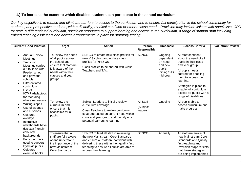#### **1.) To increase the extent to which disabled students can participate in the school curriculum.**

*Our key objective is to reduce and eliminate barriers to access to the curriculum and to ensure full participation in the school community for students, and prospective students, with a disability, medical condition or other access needs. Provision may include liaison with specialists, CPD for staff, a differentiated curriculum, specialist resources to support learning and access to the curriculum, a range of support staff including trained teaching assistants and access arrangements in place for statutory testing.*

| <b>Current Good Practice</b>                                                                                                                                                                                                      | <b>Target</b>                                                                                                                                                     | <b>Action</b>                                                                                                                                                                                                                              | <b>Person</b><br><b>Responsible</b> | <b>Timescale</b>                                                                 | <b>Success Criteria</b>                                                                                                                                                                                                                                                             | <b>Evaluation/Review</b> |
|-----------------------------------------------------------------------------------------------------------------------------------------------------------------------------------------------------------------------------------|-------------------------------------------------------------------------------------------------------------------------------------------------------------------|--------------------------------------------------------------------------------------------------------------------------------------------------------------------------------------------------------------------------------------------|-------------------------------------|----------------------------------------------------------------------------------|-------------------------------------------------------------------------------------------------------------------------------------------------------------------------------------------------------------------------------------------------------------------------------------|--------------------------|
| <b>Annual Review</b><br>$\bullet$<br>Meetings<br>Transition<br>Meetings carried<br>out to liaise with<br>Feeder school<br>and previous<br>schools<br>Differentiated<br>curriculum<br>Use of<br>ICT/iPads/laptops<br>for recording | To review the needs<br>of all pupils across<br>the school and<br>ensure that staff are<br>fully aware of the<br>needs within their<br>classes and year<br>groups. | SENCO to create new class profiles for<br>new Yr3 cohort and update class<br>profiles for Yr4,5 &6.<br>Class profiles to be shared with Class<br>Teachers and TAs.                                                                         | <b>SENCO</b>                        | Ongoing<br>dependent<br>on need<br>and new<br>pupils<br>joining SJS<br>mid-year. | All staff confident<br>about the need of all<br>pupils in their class<br>and year group.<br>All pupils needs<br>catered for enabling<br>them to access their<br>learning.<br>Strategies in place to<br>enable full curriculum<br>access for pupils with a<br>range of disabilities. |                          |
| where necessary<br>Writing slopes<br>Use of wedges<br>and cushions<br>Coloured<br>overlays<br>Interactive<br>whiteboards have<br>dyslexia friendly                                                                                | To review the<br>curriculum and<br>ensure that it is<br>accessible for all<br>pupils.                                                                             | Subject Leaders to initially review<br>curriculum coverage.<br>Class Teachers to review curriculum<br>coverage based on current need within<br>class and year group and identify any<br>potential barriers to learning.                    | All Staff<br>(Subject<br>leaders)   | Ongoing                                                                          | All pupils able to<br>access curriculum and<br>make progress.                                                                                                                                                                                                                       |                          |
| coloured<br>backgrounds<br><b>Particular fonts</b><br>used to support<br>Dyslexic pupils.<br>Coloured<br>exercise books                                                                                                           | To ensure that all<br>staff are fully aware<br>of and understand<br>the importance of the<br>new Mainstream<br>Core Standards.                                    | SENCO to lead all staff in reviewing<br>the new Mainstream Core Standards<br>and ensure all staff are confident with<br>delivering these within their quality first<br>teaching to ensure all pupils are able to<br>access their learning. | <b>SENCO</b>                        | Annually                                                                         | All staff are aware of<br>new Mainstream Core<br><b>Standards and Quality</b><br>first teaching and<br>Provision Maps reflects<br>that these strategies<br>are being implemented                                                                                                    |                          |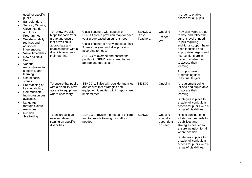|                                                                                                                                                    |                                                                                                                                                                                                                                                                                          |                                |                                              | in order to enable<br>access for all pupils.                                                                                                                                                                                                                                                       |                       |
|----------------------------------------------------------------------------------------------------------------------------------------------------|------------------------------------------------------------------------------------------------------------------------------------------------------------------------------------------------------------------------------------------------------------------------------------------|--------------------------------|----------------------------------------------|----------------------------------------------------------------------------------------------------------------------------------------------------------------------------------------------------------------------------------------------------------------------------------------------------|-----------------------|
| Maps for each Year<br>group and ensure<br>that provision is<br>appropriate and<br>enables pupils with a<br>disability to access<br>their learning. | SENCO create provision map for each<br>year group based on current need.<br>Class Teacher to review these at least<br>3 times per year and alter provision<br>according to need.<br>SENCO to oversee and ensure that<br>pupils with SEND are catered for and<br>appropriate targets set. | Class<br>Teachers.             | 3 x per<br>year                              | to date and reflect the<br>current level of need.<br>Pupils requiring<br>additional support have<br>been identified and<br>appropriate targets and<br>interventions are in<br>place to enable them<br>to access their<br>learning.<br>All pupils making<br>progress against<br>individual targets. |                       |
| To ensure that pupils<br>with a disability have<br>access to equipment<br>where necessary.                                                         | SENCO to liaise with outside agencies<br>and ensure that strategies and<br>equipment identified within reports are<br>implemented.                                                                                                                                                       | <b>SENCO</b>                   | Ongoing                                      | All equipment being<br>utilised and pupils able<br>to access their<br>learning.<br>Strategies in place to<br>enable full curriculum<br>access for pupils with a<br>range of disabilities.                                                                                                          |                       |
| To ensure all staff<br>receive relevant<br>training on specific<br>disabilities.                                                                   | SENCO to review the needs of children<br>and to provide training for staff as<br>needed.                                                                                                                                                                                                 | <b>SENCO</b>                   | Ongoing<br>annually<br>dependent<br>on need. | Raised confidence of<br>all staff with regards to<br>disabilities and<br>strategies needed to<br>ensure inclusion for all<br>where possible.<br>Strategies in place to<br>enable full curriculum<br>access for pupils with a<br>range of disabilities.                                             |                       |
|                                                                                                                                                    | To review Provision                                                                                                                                                                                                                                                                      | Class Teachers with support of | <b>SENCO &amp;</b>                           | Ongoing                                                                                                                                                                                                                                                                                            | Provision Maps are up |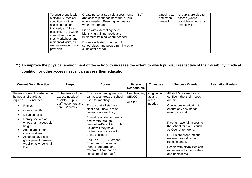| To ensure pupils with<br>a disability, medical<br>condition or other<br>access needs are<br>involved, as fully as<br>possible, in the wider<br>curriculum including<br>trips, workshops and<br>residential visits, as<br>well as extracurricular<br>provision. | Create personalised risk assessments<br>and access plans for individual pupils<br>where needed. Ensuring venues are<br>vetted beforehand.<br>Liaise with external agencies,<br>identifying training needs and<br>implement training where needed.<br>Discuss with staff who run out of<br>school clubs, and people running other<br>clubs after school. | <b>SLT</b> | Ongoing as<br>and when<br>needed. | All pupils are able to<br>access (where<br>possible) school trips,<br>and activities. |  |
|----------------------------------------------------------------------------------------------------------------------------------------------------------------------------------------------------------------------------------------------------------------|---------------------------------------------------------------------------------------------------------------------------------------------------------------------------------------------------------------------------------------------------------------------------------------------------------------------------------------------------------|------------|-----------------------------------|---------------------------------------------------------------------------------------|--|
|----------------------------------------------------------------------------------------------------------------------------------------------------------------------------------------------------------------------------------------------------------------|---------------------------------------------------------------------------------------------------------------------------------------------------------------------------------------------------------------------------------------------------------------------------------------------------------------------------------------------------------|------------|-----------------------------------|---------------------------------------------------------------------------------------|--|

### **2.) To improve the physical environment of the school to increase the extent to which pupils, irrespective of their disability, medical condition or other access needs, can access their education.**

| <b>Current Good Practice</b>                                                                                                                                                                                                                                                                                             | Target                                                                                               | <b>Action</b>                                                                                                                                                                                                                                                                                                                                                                                                                                                         | <b>Person</b><br><b>Responsible</b>       | <b>Timescale</b>                     | <b>Success Criteria</b>                                                                                                                                                                                                                                                                                                                                                             | <b>Evaluation/Review</b> |
|--------------------------------------------------------------------------------------------------------------------------------------------------------------------------------------------------------------------------------------------------------------------------------------------------------------------------|------------------------------------------------------------------------------------------------------|-----------------------------------------------------------------------------------------------------------------------------------------------------------------------------------------------------------------------------------------------------------------------------------------------------------------------------------------------------------------------------------------------------------------------------------------------------------------------|-------------------------------------------|--------------------------------------|-------------------------------------------------------------------------------------------------------------------------------------------------------------------------------------------------------------------------------------------------------------------------------------------------------------------------------------------------------------------------------------|--------------------------|
| The environment is adapted to<br>the needs of pupils as<br>required. This includes:<br>Ramps<br>Corridor width<br>Disabled toilet<br>Library shelves at<br>wheelchair-accessible<br>height<br>Anti-glare film on<br>class windows<br>All doors have half<br>glass panel to ensure<br>visibility at wheel chair<br>level. | To be aware of the<br>access needs of<br>disabled pupils,<br>staff, governors and<br>parents/carers. | Ensure staff and governors<br>can access areas of school<br>used for meetings.<br>Ensure that all staff are<br>clear about how to raise<br>issues of accessibility.<br>Annual reminder to parents<br>and carers through<br>newsletter/Parent App to let<br>us know if they have<br>problems with access to<br>areas of school<br>Ensure a PEEP (Personal<br><b>Emergency Evacuation</b><br>Plan) is prepared and<br>reviewed if someone at<br>school (pupil or adult) | Headteacher,<br><b>SENCO</b><br>All Staff | Ongoing-<br>as and<br>when<br>needed | All staff & governors are<br>confident that their needs<br>are met.<br>Continuous monitoring to<br>ensure any new needs<br>arising are met.<br>Parents have full access to<br>the school for events such<br>as Open Afternoons.<br>PEEPs are prepared and<br>reviewed as individual<br>needs change.<br>People with disabilities can<br>move around school safely<br>and unhindered |                          |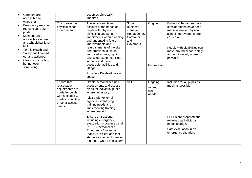| Corridors are<br>accessible by                                                                                                                                                                                                                                             |                                                                                                                                         | becomes physically<br>impaired.                                                                                                                                                                                                                                                                                                                                                                                                                       |                                                                                        |                                      |                                                                                                                                                                                                                               |  |
|----------------------------------------------------------------------------------------------------------------------------------------------------------------------------------------------------------------------------------------------------------------------------|-----------------------------------------------------------------------------------------------------------------------------------------|-------------------------------------------------------------------------------------------------------------------------------------------------------------------------------------------------------------------------------------------------------------------------------------------------------------------------------------------------------------------------------------------------------------------------------------------------------|----------------------------------------------------------------------------------------|--------------------------------------|-------------------------------------------------------------------------------------------------------------------------------------------------------------------------------------------------------------------------------|--|
| wheelchair.<br>Emergency escape<br>routes clearly sign<br>posted.<br>Main entrance<br>accessible via ramp<br>and wheelchair level<br>bell.<br>Termly Health and<br>Safety audit carried<br>out and actioned.<br><b>Classrooms inviting</b><br>but not over<br>stimulating. | To improve the<br>physical school<br>Environment                                                                                        | The school will take<br>account of the needs of<br>pupils with physical<br>difficulties and sensory<br>impairments when planning<br>and undertaking future<br>improvements and<br>refurbishments of the site<br>and premises, such as<br>improved access, lighting<br>and colour schemes, clear<br>signage and more<br>accessible facilities and<br>fittings.<br>Provide a Disabled parking<br>space                                                  | School<br><b>Business</b><br>manager,<br>Headteacher,<br>Caretaker<br>and<br>Governors | Ongoing<br><b>Future Plan</b>        | Evidence that appropriate<br>considerations have been<br>made wherever physical<br>school improvements are<br>carried out.<br>People with disabilities can<br>move around school safely<br>and unhindered, where<br>possible. |  |
|                                                                                                                                                                                                                                                                            | Ensure that<br>reasonable<br>adjustments are<br>made for pupils<br>with a disability,<br>medical condition<br>or other access<br>needs. | Create personalised risk<br>assessments and access<br>plans for individual pupils<br>where necessary.<br>Liaise with external<br>agencies, identifying<br>training needs and<br>implementing training<br>where needed.<br>Ensure that actions,<br>including emergency<br>evacuation procedures and<br>PEEPS (personalized<br><b>Emergency Evacuation</b><br>Plans), are clear and that<br>staff are capable of carrying<br>them out, where necessary. | <b>SLT</b>                                                                             | Ongoing<br>As and<br>when<br>needed. | Inclusion for all pupils as<br>much as possible.<br>PEEPs are prepared and<br>reviewed as individual<br>needs change.<br>Safe evacuation in an<br>emergency situation.                                                        |  |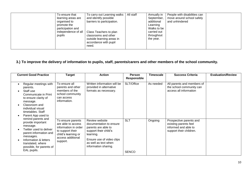| To ensure that<br>learning areas are<br>organised to<br>promote the<br>participation and<br>independence of all<br>pupils | To carry out Learning walks<br>and identify possible<br>barriers to participation.<br>Class Teachers to plan<br>classrooms and other<br>outside learning areas in<br>accordance with pupil<br>need. | All staff | Annually in<br>September,<br>additional<br>Learning<br>Walks to be<br>carried out<br>throughout<br>the year. | People with disabilities can<br>move around school safely<br>and unhindered |  |
|---------------------------------------------------------------------------------------------------------------------------|-----------------------------------------------------------------------------------------------------------------------------------------------------------------------------------------------------|-----------|--------------------------------------------------------------------------------------------------------------|-----------------------------------------------------------------------------|--|
|---------------------------------------------------------------------------------------------------------------------------|-----------------------------------------------------------------------------------------------------------------------------------------------------------------------------------------------------|-----------|--------------------------------------------------------------------------------------------------------------|-----------------------------------------------------------------------------|--|

## **3.) To improve the delivery of information to pupils, staff, parents/carers and other members of the school community.**

| <b>Current Good Practice</b>                                                                                                                                                                                   | <b>Target</b>                                                                                                                               | <b>Action</b>                                                                                                                                                                       | Person                     | <b>Timescale</b> | <b>Success Criteria</b>                                                                             | <b>Evaluation/Review</b> |
|----------------------------------------------------------------------------------------------------------------------------------------------------------------------------------------------------------------|---------------------------------------------------------------------------------------------------------------------------------------------|-------------------------------------------------------------------------------------------------------------------------------------------------------------------------------------|----------------------------|------------------|-----------------------------------------------------------------------------------------------------|--------------------------|
|                                                                                                                                                                                                                |                                                                                                                                             |                                                                                                                                                                                     | <b>Responsible</b>         |                  |                                                                                                     |                          |
| Regular meetings with<br>parents.<br>Staff use<br>Communicate in Print<br>to ensure clarity of<br>message.<br>Classroom and<br>individual visual<br>timetables. Staff<br>Parent App used to                    | To ensure all<br>parents and other<br>members of the<br>school community<br>can access<br>information.                                      | Written information will be<br>provided in alternative<br>formats as necessary.                                                                                                     | SLT/Office                 | As needed        | All parents and members of<br>the school community can<br>access all information                    |                          |
| remind parents and<br>provide important<br>message.<br>Twitter used to deliver<br>parent information and<br>messages.<br>Information & letters<br>translated, where<br>possible, for parents of<br>EAL pupils. | To ensure parents<br>are able to access<br>information in order<br>to support their<br>child's learning or<br>access additional<br>support. | Review website<br>documentation to ensure<br>parents are able to<br>support their child's<br>learning.<br>Ensure use of video clips<br>as well as text when<br>information sharing. | <b>SLT</b><br><b>SENCO</b> | Ongoing          | Prospective parents and<br>existing parents feel<br>informed and able to<br>support their children. |                          |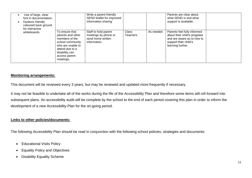| Use of large, clear<br>font in documentation.<br>Dyslexic friendly<br>coloured back ground<br>for interactive |                                                                                                                                                                   | Write a parent friendly<br>SEND leaflet for improved<br>information sharing       |                          |           | Parents are clear about<br>what SEND is and what<br>support is available.                                                               |  |
|---------------------------------------------------------------------------------------------------------------|-------------------------------------------------------------------------------------------------------------------------------------------------------------------|-----------------------------------------------------------------------------------|--------------------------|-----------|-----------------------------------------------------------------------------------------------------------------------------------------|--|
| whiteboards.                                                                                                  | To ensure that<br>parents and other<br>members of the<br>school community<br>who are unable to<br>attend due to a<br>disability can<br>access parent<br>meetings. | Staff to hold parent<br>meetings by phone or<br>send home written<br>information. | Class<br><b>Teachers</b> | As needed | Parents feel fully informed<br>about their child's progress<br>and are aware as to how to<br>support their child's<br>learning further. |  |

#### **Monitoring arrangements:**

This document will be reviewed every 3 years, but may be reviewed and updated more frequently if necessary.

It may not be feasible to undertake all of the works during the life of the Accessibility Plan and therefore some items will roll forward into subsequent plans. An accessibility audit will be complete by the school to the end of each period covering this plan in order to inform the development of a new Accessibility Plan for the on-going period.

#### **Links to other policies/documents:**

The following Accessibility Plan should be read in conjunction with the following school policies, strategies and documents:

- Educational Visits Policy
- Equality Policy and Objectives
- Disability Equality Scheme